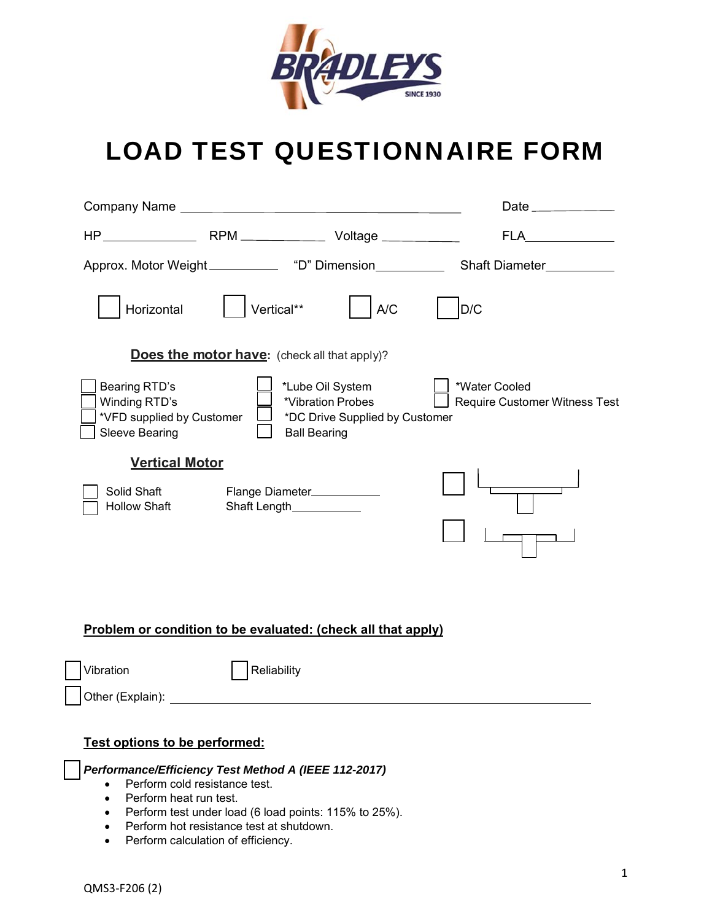

# LOAD TEST QUESTIONNAIRE FORM

|                                                                                      |                                                       |                                                                                                | Date ______________                            |
|--------------------------------------------------------------------------------------|-------------------------------------------------------|------------------------------------------------------------------------------------------------|------------------------------------------------|
|                                                                                      |                                                       |                                                                                                | FLA                                            |
| Approx. Motor Weight_____________ "D" Dimension___________                           |                                                       |                                                                                                | Shaft Diameter__________                       |
| Horizontal                                                                           | Vertical**                                            | A/C                                                                                            | D/C                                            |
|                                                                                      | <b>Does the motor have:</b> (check all that apply)?   |                                                                                                |                                                |
| Bearing RTD's<br>Winding RTD's<br>*VFD supplied by Customer<br><b>Sleeve Bearing</b> |                                                       | *Lube Oil System<br>*Vibration Probes<br>*DC Drive Supplied by Customer<br><b>Ball Bearing</b> | *Water Cooled<br>Require Customer Witness Test |
| <b>Vertical Motor</b><br>Solid Shaft<br><b>Hollow Shaft</b>                          | Flange Diameter___________<br>Shaft Length___________ |                                                                                                |                                                |

# **Problem or condition to be evaluated: (check all that apply)**

Vibration | Reliability Other (Explain):

## **Test options to be performed:**

*Performance/Efficiency Test Method A (IEEE 112-2017)* 

- Perform cold resistance test.
- Perform heat run test.
- Perform test under load (6 load points: 115% to 25%).
- Perform hot resistance test at shutdown.
- Perform calculation of efficiency.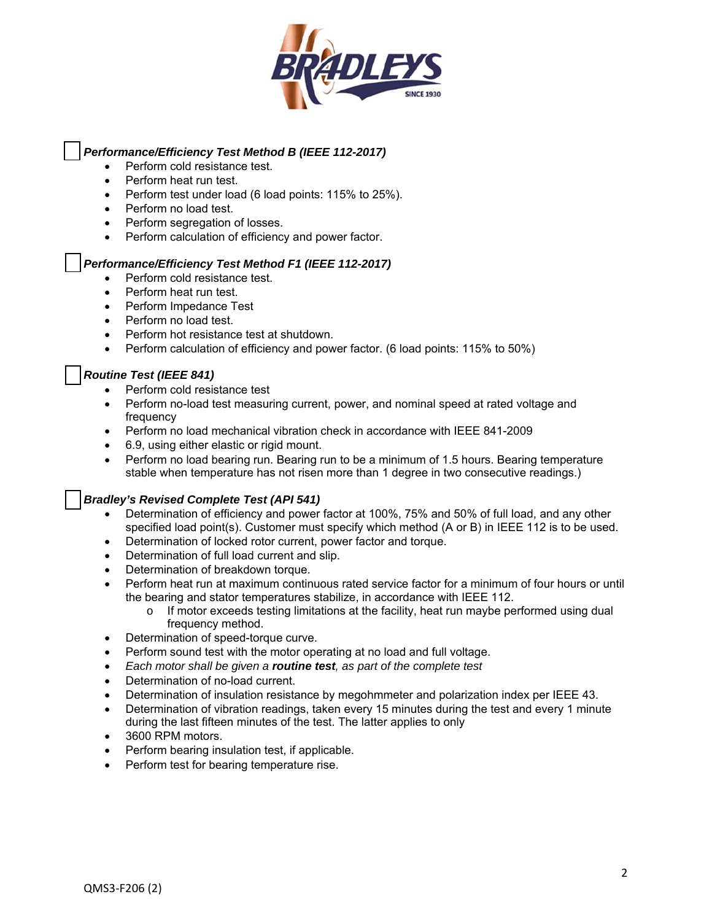

#### *Performance/Efficiency Test Method B (IEEE 112-2017)*

- Perform cold resistance test.
- Perform heat run test.
- Perform test under load (6 load points: 115% to 25%).
- Perform no load test.
- Perform segregation of losses.
- Perform calculation of efficiency and power factor.

#### *Performance/Efficiency Test Method F1 (IEEE 112-2017)*

- Perform cold resistance test.
- Perform heat run test.
- Perform Impedance Test
- Perform no load test.
- Perform hot resistance test at shutdown.
- Perform calculation of efficiency and power factor. (6 load points: 115% to 50%)

#### *Routine Test (IEEE 841)*

- Perform cold resistance test
- Perform no-load test measuring current, power, and nominal speed at rated voltage and frequency
- Perform no load mechanical vibration check in accordance with IEEE 841-2009
- 6.9, using either elastic or rigid mount.
- Perform no load bearing run. Bearing run to be a minimum of 1.5 hours. Bearing temperature stable when temperature has not risen more than 1 degree in two consecutive readings.)

#### *Bradley's Revised Complete Test (API 541)*

- Determination of efficiency and power factor at 100%, 75% and 50% of full load, and any other specified load point(s). Customer must specify which method (A or B) in IEEE 112 is to be used.
- Determination of locked rotor current, power factor and torque.
- Determination of full load current and slip.
- Determination of breakdown torque.
- Perform heat run at maximum continuous rated service factor for a minimum of four hours or until the bearing and stator temperatures stabilize, in accordance with IEEE 112.
	- $\circ$  If motor exceeds testing limitations at the facility, heat run maybe performed using dual frequency method.
- Determination of speed-torque curve.
- Perform sound test with the motor operating at no load and full voltage.
- *Each motor shall be given a routine test, as part of the complete test*
- Determination of no-load current.
- Determination of insulation resistance by megohmmeter and polarization index per IEEE 43.
- Determination of vibration readings, taken every 15 minutes during the test and every 1 minute during the last fifteen minutes of the test. The latter applies to only
- 3600 RPM motors.
- Perform bearing insulation test, if applicable.
- Perform test for bearing temperature rise.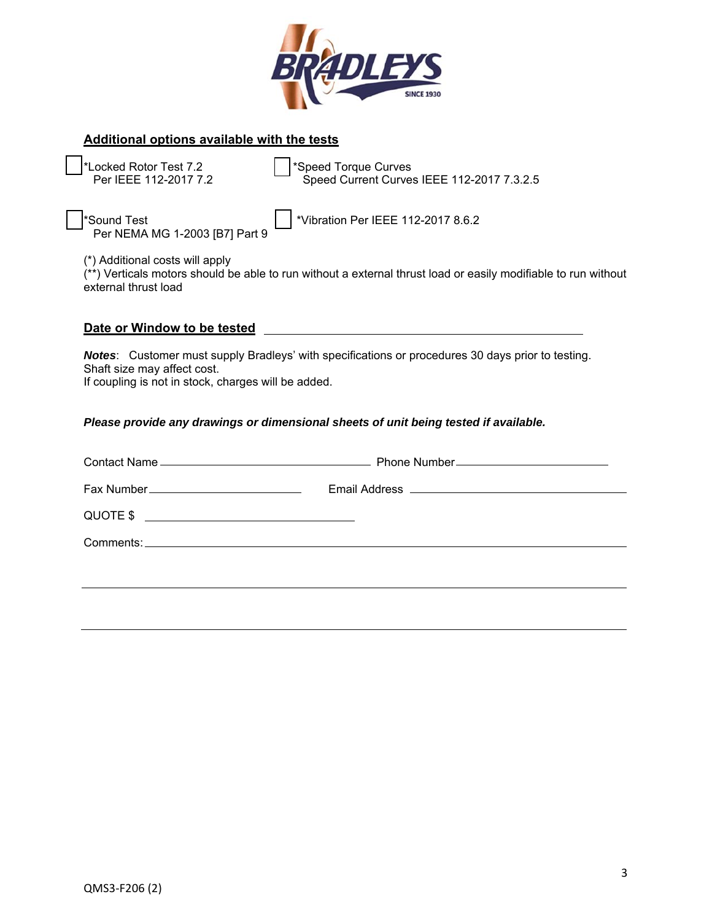

## **Additional options available with the tests**

\*Locked Rotor Test 7.2 \*Speed Torque Curves

Speed Current Curves IEEE 112-2017 7.3.2.5

Per NEMA MG 1-2003 [B7] Part 9

\*Sound Test \*Vibration Per IEEE 112-2017 8.6.2

(\*) Additional costs will apply

(\*\*) Verticals motors should be able to run without a external thrust load or easily modifiable to run without external thrust load

| Date or Window to be tested |  |
|-----------------------------|--|
|-----------------------------|--|

*Notes*: Customer must supply Bradleys' with specifications or procedures 30 days prior to testing. Shaft size may affect cost.

If coupling is not in stock, charges will be added.

### *Please provide any drawings or dimensional sheets of unit being tested if available.*

| QUOTE \$ \equation \end{c} \end{c}} |  |
|-------------------------------------|--|
|                                     |  |
|                                     |  |